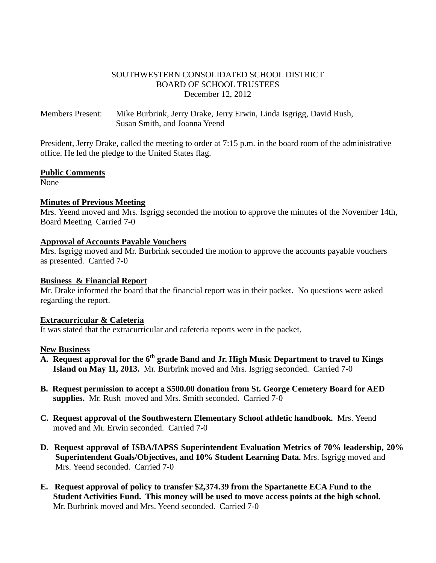### SOUTHWESTERN CONSOLIDATED SCHOOL DISTRICT BOARD OF SCHOOL TRUSTEES December 12, 2012

Members Present: Mike Burbrink, Jerry Drake, Jerry Erwin, Linda Isgrigg, David Rush, Susan Smith, and Joanna Yeend

President, Jerry Drake, called the meeting to order at 7:15 p.m. in the board room of the administrative office. He led the pledge to the United States flag.

#### **Public Comments**

None

#### **Minutes of Previous Meeting**

Mrs. Yeend moved and Mrs. Isgrigg seconded the motion to approve the minutes of the November 14th, Board Meeting Carried 7-0

#### **Approval of Accounts Payable Vouchers**

Mrs. Isgrigg moved and Mr. Burbrink seconded the motion to approve the accounts payable vouchers as presented. Carried 7-0

#### **Business & Financial Report**

Mr. Drake informed the board that the financial report was in their packet. No questions were asked regarding the report.

#### **Extracurricular & Cafeteria**

It was stated that the extracurricular and cafeteria reports were in the packet.

#### **New Business**

- **A. Request approval for the 6th grade Band and Jr. High Music Department to travel to Kings Island on May 11, 2013.** Mr. Burbrink moved and Mrs. Isgrigg seconded. Carried 7-0
- **B. Request permission to accept a \$500.00 donation from St. George Cemetery Board for AED supplies.** Mr. Rush moved and Mrs. Smith seconded. Carried 7-0
- **C. Request approval of the Southwestern Elementary School athletic handbook.** Mrs. Yeend moved and Mr. Erwin seconded. Carried 7-0
- **D. Request approval of ISBA/IAPSS Superintendent Evaluation Metrics of 70% leadership, 20% Superintendent Goals/Objectives, and 10% Student Learning Data.** Mrs. Isgrigg moved and Mrs. Yeend seconded. Carried 7-0
- **E. Request approval of policy to transfer \$2,374.39 from the Spartanette ECA Fund to the Student Activities Fund. This money will be used to move access points at the high school.** Mr. Burbrink moved and Mrs. Yeend seconded. Carried 7-0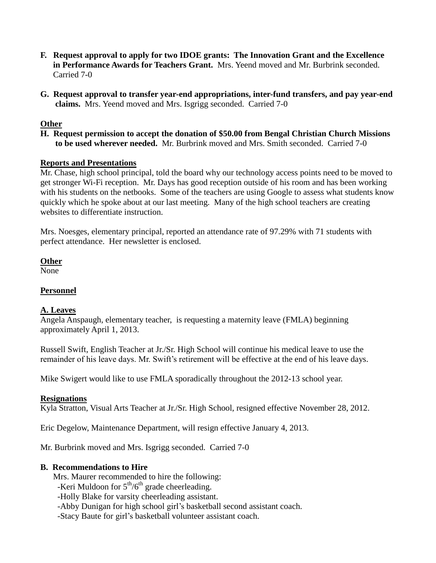- **F. Request approval to apply for two IDOE grants: The Innovation Grant and the Excellence in Performance Awards for Teachers Grant.** Mrs. Yeend moved and Mr. Burbrink seconded. Carried 7-0
- **G. Request approval to transfer year-end appropriations, inter-fund transfers, and pay year-end claims.** Mrs. Yeend moved and Mrs. Isgrigg seconded. Carried 7-0

## **Other**

**H. Request permission to accept the donation of \$50.00 from Bengal Christian Church Missions to be used wherever needed.** Mr. Burbrink moved and Mrs. Smith seconded. Carried 7-0

#### **Reports and Presentations**

Mr. Chase, high school principal, told the board why our technology access points need to be moved to get stronger Wi-Fi reception. Mr. Days has good reception outside of his room and has been working with his students on the netbooks. Some of the teachers are using Google to assess what students know quickly which he spoke about at our last meeting. Many of the high school teachers are creating websites to differentiate instruction.

Mrs. Noesges, elementary principal, reported an attendance rate of 97.29% with 71 students with perfect attendance. Her newsletter is enclosed.

**Other**

None

# **Personnel**

#### **A. Leaves**

Angela Anspaugh, elementary teacher, is requesting a maternity leave (FMLA) beginning approximately April 1, 2013.

Russell Swift, English Teacher at Jr./Sr. High School will continue his medical leave to use the remainder of his leave days. Mr. Swift's retirement will be effective at the end of his leave days.

Mike Swigert would like to use FMLA sporadically throughout the 2012-13 school year.

# **Resignations**

Kyla Stratton, Visual Arts Teacher at Jr./Sr. High School, resigned effective November 28, 2012.

Eric Degelow, Maintenance Department, will resign effective January 4, 2013.

Mr. Burbrink moved and Mrs. Isgrigg seconded. Carried 7-0

#### **B. Recommendations to Hire**

Mrs. Maurer recommended to hire the following:

-Keri Muldoon for  $5<sup>th</sup>/6<sup>th</sup>$  grade cheerleading.

-Holly Blake for varsity cheerleading assistant.

-Abby Dunigan for high school girl's basketball second assistant coach.

-Stacy Baute for girl's basketball volunteer assistant coach.